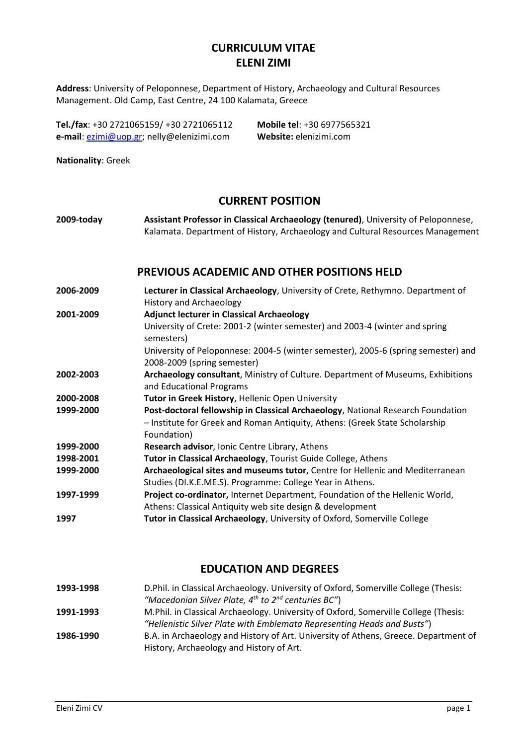# **CURRICULUM VITAE ELENI ZIMI**

**Address**: University of Peloponnese, Department of History, Archaeology and Cultural Resources Management. Old Camp, East Centre, 24 100 Kalamata, Greece

**Tel./fax**: +30 2721065159/ +30 2721065112 **Mobile tel**: +30 6977565321 **e-mail**: [ezimi@uop.gr;](mailto:ezimi@uop.gr) nelly@elenizimi.com **Website:** elenizimi.com

**Nationality**: Greek

# **CURRENT POSITION**

**2009-today Assistant Professor in Classical Archaeology (tenured)**, University of Peloponnese, Kalamata. Department of History, Archaeology and Cultural Resources Management

### **PREVIOUS ACADEMIC AND OTHER POSITIONS HELD**

**2006-2009 Lecturer in Classical Archaeology**, University of Crete, Rethymno. Department of History and Archaeology **2001-2009 Adjunct lecturer in Classical Archaeology** University of Crete: 2001-2 (winter semester) and 2003-4 (winter and spring semesters) University of Peloponnese: 2004-5 (winter semester), 2005-6 (spring semester) and 2008-2009 (spring semester) **2002-2003 Archaeology consultant**, Ministry of Culture. Department of Museums, Exhibitions and Educational Programs **2000-2008 Tutor in Greek History**, Hellenic Open University **1999-2000 Post-doctoral fellowship in Classical Archaeology**, National Research Foundation – Institute for Greek and Roman Antiquity, Athens: (Greek State Scholarship Foundation) **1999-2000 Research advisor**, Ionic Centre Library, Athens **1998-2001 Tutor in Classical Archaeology**, Tourist Guide College, Athens **1999-2000 Archaeological sites and museums tutor**, Centre for Hellenic and Mediterranean Studies (DI.K.E.ME.S). Programme: College Year in Athens. **1997-1999 Project co-ordinator,** Internet Department, Foundation of the Hellenic World, Athens: Classical Antiquity web site design & development **1997 Tutor in Classical Archaeology**, University of Oxford, Somerville College

# **EDUCATION AND DEGREES**

| 1993-1998 | D. Phil. in Classical Archaeology. University of Oxford, Somerville College (Thesis: |
|-----------|--------------------------------------------------------------------------------------|
|           | "Macedonian Silver Plate, $4^{th}$ to $2^{nd}$ centuries BC")                        |
| 1991-1993 | M. Phil. in Classical Archaeology. University of Oxford, Somerville College (Thesis: |
|           | "Hellenistic Silver Plate with Emblemata Representing Heads and Busts")              |
| 1986-1990 | B.A. in Archaeology and History of Art. University of Athens, Greece. Department of  |
|           | History, Archaeology and History of Art.                                             |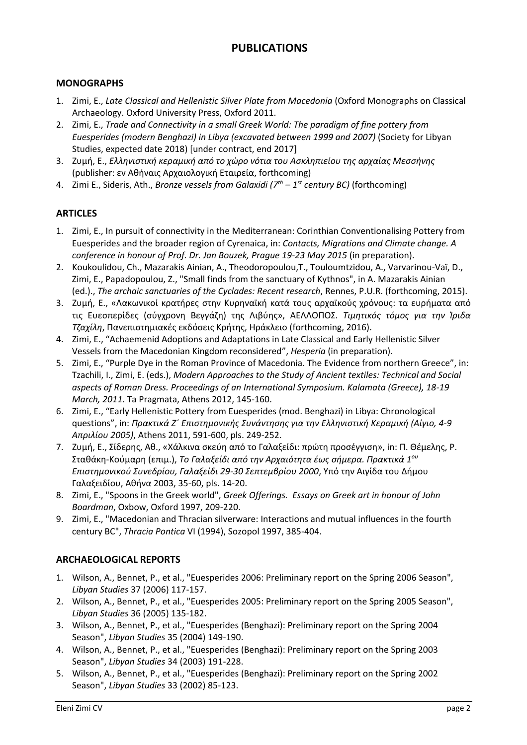# **PUBLICATIONS**

### **MONOGRAPHS**

- 1. Zimi, E., *Late Classical and Hellenistic Silver Plate from Macedonia* (Oxford Monographs on Classical Archaeology. Oxford University Press, Oxford 2011.
- 2. Zimi, E., *Trade and Connectivity in a small Greek World: The paradigm of fine pottery from Euesperides (modern Benghazi) in Libya (excavated between 1999 and 2007)* (Society for Libyan Studies, expected date 2018) [under contract, end 2017]
- 3. Ζυμή, Ε., *Ελληνιστική κεραμική από το χώρο νότια του Ασκληπιείου της αρχαίας Μεσσήνης* (publisher: εν Αθήναις Αρχαιολογική Εταιρεία, forthcoming)
- 4. Zimi Ε., Sideris, Ath., *Bronze vessels from Galaxidi (7th – 1 st century BC)* (forthcoming)

### **ARTICLES**

- 1. Zimi, E., In pursuit of connectivity in the Mediterranean: Corinthian Conventionalising Pottery from Euesperides and the broader region of Cyrenaica, in: *Contacts, Migrations and Climate change. A conference in honour of Prof. Dr. Jan Bouzek, Prague 19-23 May 2015* (in preparation).
- 2. Koukoulidou, Ch., Mazarakis Ainian, A., Theodoropoulou,T., Touloumtzidou, A., Varvarinou-Vaï, D., Zimi, E., Papadopoulou, Z., "Small finds from the sanctuary of Kythnos", in A. Mazarakis Ainian (ed.)., *The archaic sanctuaries of the Cyclades: Recent research*, Rennes, P.U.R. (forthcoming, 2015).
- 3. Ζυμή, Ε., «Λακωνικοί κρατήρες στην Κυρηναϊκή κατά τους αρχαϊκούς χρόνους: τα ευρήματα από τις Ευεσπερίδες (σύγχρονη Βεγγάζη) της Λιβύης», ΑΕΛΛΟΠΟΣ. *Τιμητικός τόμος για την Ίριδα Τζαχίλη*, Πανεπιστημιακές εκδόσεις Κρήτης, Ηράκλειο (forthcoming, 2016).
- 4. Zimi, E., "Achaemenid Adoptions and Adaptations in Late Classical and Early Hellenistic Silver Vessels from the Macedonian Kingdom reconsidered", *Hesperia* (in preparation).
- 5. Zimi, E., "Purple Dye in the Roman Province of Macedonia. The Evidence from northern Greece", in: Tzachili, I., Zimi, E. (eds.), *Modern Approaches to the Study of Ancient textiles: Technical and Social aspects of Roman Dress. Proceedings of an International Symposium. Kalamata (Greece), 18-19 March, 2011*. Ta Pragmata, Athens 2012, 145-160.
- 6. Zimi, E., "Early Hellenistic Pottery from Euesperides (mod. Benghazi) in Libya: Chronological questions", in: *Πρακτικά Ζ΄ Επιστημονικής Συνάντησης για την Ελληνιστική Κεραμική (Αίγιο, 4-9 Απριλίου 2005)*, Athens 2011, 591-600, pls. 249-252.
- 7. Ζυμή, Ε., Σίδερης, Αθ., «Xάλκινα σκεύη από το Γαλαξείδι: πρώτη προσέγγιση», in: Π. Θέμελης, Ρ. Σταθάκη-Κούμαρη (επιμ.), *Το Γαλαξείδι από την Αρχαιότητα έως σήμερα. Πρακτικά 1ου Επιστημονικού Συνεδρίου, Γαλαξείδι 29-30 Σεπτεμβρίου 2000*, Υπό την Αιγίδα του Δήμου Γαλαξειδίου, Αθήνα 2003, 35-60, pls. 14-20.
- 8. Zimi, E., "Spoons in the Greek world", *Greek Offerings. Essays on Greek art in honour of John Boardman*, Oxbow, Oxford 1997, 209-220.
- 9. Zimi, E., "Macedonian and Thracian silverware: Interactions and mutual influences in the fourth century BC", *Thracia Pontica* VI (1994), Sozopol 1997, 385-404.

### **ARCHAEOLOGICAL REPORTS**

- 1. Wilson, A., Bennet, P., et al., "Euesperides 2006: Preliminary report on the Spring 2006 Season", *Libyan Studies* 37 (2006) 117-157.
- 2. Wilson, A., Bennet, P., et al., "Euesperides 2005: Preliminary report on the Spring 2005 Season", *Libyan Studies* 36 (2005) 135-182.
- 3. Wilson, A., Bennet, P., et al., "Euesperides (Benghazi): Preliminary report on the Spring 2004 Season", *Libyan Studies* 35 (2004) 149-190.
- 4. Wilson, A., Bennet, P., et al., "Euesperides (Benghazi): Preliminary report on the Spring 2003 Season", *Libyan Studies* 34 (2003) 191-228.
- 5. Wilson, A., Bennet, P., et al., "Euesperides (Benghazi): Preliminary report on the Spring 2002 Season", *Libyan Studies* 33 (2002) 85-123.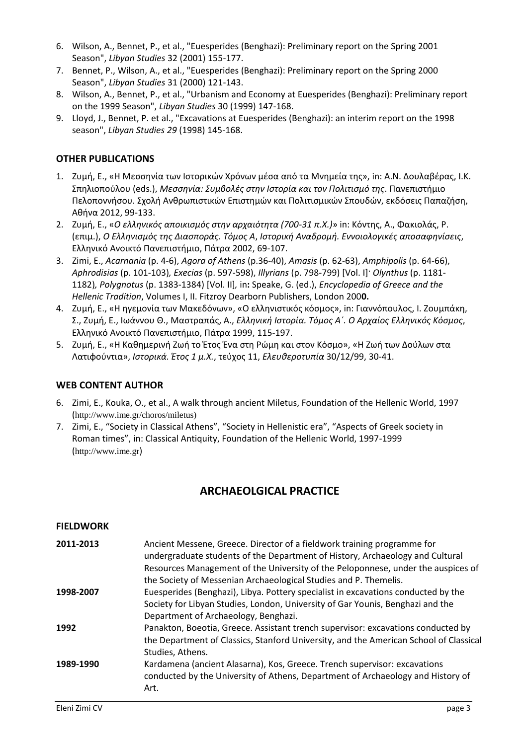- 6. Wilson, A., Bennet, P., et al., "Euesperides (Benghazi): Preliminary report on the Spring 2001 Season", *Libyan Studies* 32 (2001) 155-177.
- 7. Bennet, P., Wilson, A., et al., "Euesperides (Benghazi): Preliminary report on the Spring 2000 Season", *Libyan Studies* 31 (2000) 121-143.
- 8. Wilson, A., Bennet, P., et al., "Urbanism and Economy at Euesperides (Benghazi): Preliminary report on the 1999 Season", *Libyan Studies* 30 (1999) 147-168.
- 9. Lloyd, J., Bennet, P. et al., "Excavations at Euesperides (Benghazi): an interim report on the 1998 season", *Libyan Studies 29* (1998) 145-168.

#### **OTHER PUBLICATIONS**

- 1. Ζυμή, Ε., «Η Μεσσηνία των Ιστορικών Χρόνων μέσα από τα Μνημεία της», in: A.N. Δουλαβέρας, Ι.Κ. Σπηλιοπούλου (eds.), *Μεσσηνία: Συμβολές στην Ιστορία και τον Πολιτισμό της*. Πανεπιστήμιο Πελοποννήσου. Σχολή Ανθρωπιστικών Επιστημών και Πολιτισμικών Σπουδών, εκδόσεις Παπαζήση, Αθήνα 2012, 99-133.
- 2. Ζυμή, Ε., «*Ο ελληνικός αποικισμός στην αρχαιότητα (700-31 π.Χ.)*» in: Κόντης, Α., Φακιολάς, Ρ. (επιμ.), *Ο Ελληνισμός της Διασποράς. Τόμος Α*, *Ιστορική Αναδρομή. Εννοιολογικές αποσαφηνίσεις*, Ελληνικό Ανοικτό Πανεπιστήμιο, Πάτρα 2002, 69-107.
- 3. Zimi, E., *Acarnania* (p. 4-6), *Agora of Athens* (p.36-40), *Amasis* (p. 62-63), *Amphipolis* (p. 64-66), *Aphrodisias* (p. 101-103)*, Execias* (p. 597-598), *Illyrians* (p. 798-799) [Vol. Ι]· *Olynthus* (p. 1181- 1182)*, Polygnotus* (p. 1383-1384) [Vol. II]*,* in**:** Speake, G. (ed.), *Encyclopedia of Greece and the Hellenic Tradition*, Volumes I, II. Fitzroy Dearborn Publishers, London 200**0.**
- 4. Ζυμή, Ε., «Η ηγεμονία των Μακεδόνων», «Ο ελληνιστικός κόσμος», in: Γιαννόπουλος, Ι. Ζουμπάκη, Σ., Ζυμή, Ε., Ιωάννου Θ., Μαστραπάς, Α., *Ελληνική Ιστορία. Τόμος Α΄. Ο Αρχαίος Ελληνικός Κόσμος*, Ελληνικό Ανοικτό Πανεπιστήμιο, Πάτρα 1999, 115-197.
- 5. Ζυμή, Ε., «Η Καθημερινή Ζωή το Έτος Ένα στη Ρώμη και στον Κόσμο», «Η Ζωή των Δούλων στα Λατιφούντια», *Ιστορικά. Έτος 1 μ.Χ.*, τεύχος 11, *Ελευθεροτυπία* 30/12/99, 30-41.

#### **WEB CONTENT AUTHOR**

- 6. Zimi, E., Kouka, O., et al., A walk through ancient Miletus, Foundation of the Hellenic World, 1997 ([http://www.ime.gr/choros/miletus\)](http://www.ime.gr/choros/miletus))
- 7. Zimi, E., "Society in Classical Athens", "Society in Hellenistic era", "Aspects of Greek society in Roman times", in: Classical Antiquity, Foundation of the Hellenic World, 1997-1999 ([http://www.ime.gr](http://www.ime.gr/))

### **ARCHAEOLGICAL PRACTICE**

#### **FIELDWORK**

| 2011-2013 | Ancient Messene, Greece. Director of a fieldwork training programme for<br>undergraduate students of the Department of History, Archaeology and Cultural<br>Resources Management of the University of the Peloponnese, under the auspices of |
|-----------|----------------------------------------------------------------------------------------------------------------------------------------------------------------------------------------------------------------------------------------------|
|           | the Society of Messenian Archaeological Studies and P. Themelis.                                                                                                                                                                             |
| 1998-2007 | Euesperides (Benghazi), Libya. Pottery specialist in excavations conducted by the<br>Society for Libyan Studies, London, University of Gar Younis, Benghazi and the                                                                          |
|           | Department of Archaeology, Benghazi.                                                                                                                                                                                                         |
| 1992      | Panakton, Boeotia, Greece. Assistant trench supervisor: excavations conducted by<br>the Department of Classics, Stanford University, and the American School of Classical<br>Studies, Athens.                                                |
| 1989-1990 | Kardamena (ancient Alasarna), Kos, Greece. Trench supervisor: excavations<br>conducted by the University of Athens, Department of Archaeology and History of<br>Art.                                                                         |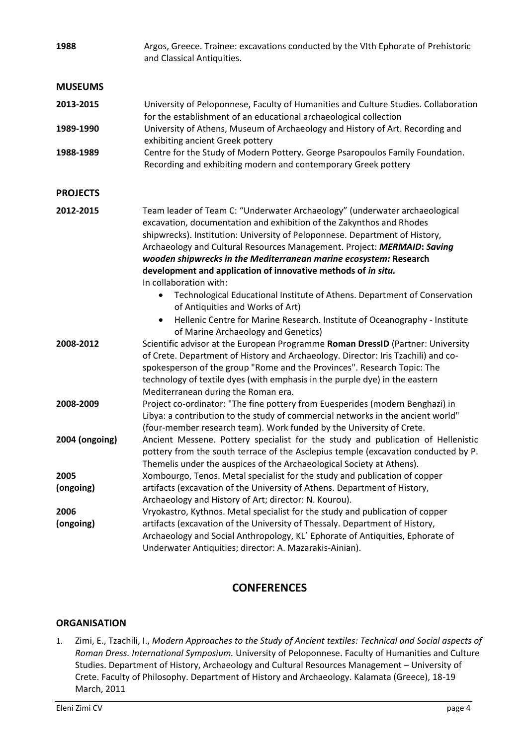| 1988                   | Argos, Greece. Trainee: excavations conducted by the VIth Ephorate of Prehistoric<br>and Classical Antiquities.                                                                                                                                                                                                                                                                                                                                                                                                                                                                                                                                                                                                                                                                                                                                                                                         |
|------------------------|---------------------------------------------------------------------------------------------------------------------------------------------------------------------------------------------------------------------------------------------------------------------------------------------------------------------------------------------------------------------------------------------------------------------------------------------------------------------------------------------------------------------------------------------------------------------------------------------------------------------------------------------------------------------------------------------------------------------------------------------------------------------------------------------------------------------------------------------------------------------------------------------------------|
| <b>MUSEUMS</b>         |                                                                                                                                                                                                                                                                                                                                                                                                                                                                                                                                                                                                                                                                                                                                                                                                                                                                                                         |
| 2013-2015              | University of Peloponnese, Faculty of Humanities and Culture Studies. Collaboration<br>for the establishment of an educational archaeological collection                                                                                                                                                                                                                                                                                                                                                                                                                                                                                                                                                                                                                                                                                                                                                |
| 1989-1990              | University of Athens, Museum of Archaeology and History of Art. Recording and<br>exhibiting ancient Greek pottery                                                                                                                                                                                                                                                                                                                                                                                                                                                                                                                                                                                                                                                                                                                                                                                       |
| 1988-1989              | Centre for the Study of Modern Pottery. George Psaropoulos Family Foundation.<br>Recording and exhibiting modern and contemporary Greek pottery                                                                                                                                                                                                                                                                                                                                                                                                                                                                                                                                                                                                                                                                                                                                                         |
| <b>PROJECTS</b>        |                                                                                                                                                                                                                                                                                                                                                                                                                                                                                                                                                                                                                                                                                                                                                                                                                                                                                                         |
| 2012-2015<br>2008-2012 | Team leader of Team C: "Underwater Archaeology" (underwater archaeological<br>excavation, documentation and exhibition of the Zakynthos and Rhodes<br>shipwrecks). Institution: University of Peloponnese. Department of History,<br>Archaeology and Cultural Resources Management. Project: MERMAID: Saving<br>wooden shipwrecks in the Mediterranean marine ecosystem: Research<br>development and application of innovative methods of in situ.<br>In collaboration with:<br>Technological Educational Institute of Athens. Department of Conservation<br>of Antiquities and Works of Art)<br>Hellenic Centre for Marine Research. Institute of Oceanography - Institute<br>$\bullet$<br>of Marine Archaeology and Genetics)<br>Scientific advisor at the European Programme Roman DressID (Partner: University<br>of Crete. Department of History and Archaeology. Director: Iris Tzachili) and co- |
|                        | spokesperson of the group "Rome and the Provinces". Research Topic: The<br>technology of textile dyes (with emphasis in the purple dye) in the eastern<br>Mediterranean during the Roman era.                                                                                                                                                                                                                                                                                                                                                                                                                                                                                                                                                                                                                                                                                                           |
| 2008-2009              | Project co-ordinator: "The fine pottery from Euesperides (modern Benghazi) in<br>Libya: a contribution to the study of commercial networks in the ancient world"<br>(four-member research team). Work funded by the University of Crete.                                                                                                                                                                                                                                                                                                                                                                                                                                                                                                                                                                                                                                                                |
| 2004 (ongoing)         | Ancient Messene. Pottery specialist for the study and publication of Hellenistic<br>pottery from the south terrace of the Asclepius temple (excavation conducted by P.<br>Themelis under the auspices of the Archaeological Society at Athens).                                                                                                                                                                                                                                                                                                                                                                                                                                                                                                                                                                                                                                                         |
| 2005<br>(ongoing)      | Xombourgo, Tenos. Metal specialist for the study and publication of copper<br>artifacts (excavation of the University of Athens. Department of History,<br>Archaeology and History of Art; director: N. Kourou).                                                                                                                                                                                                                                                                                                                                                                                                                                                                                                                                                                                                                                                                                        |
| 2006<br>(ongoing)      | Vryokastro, Kythnos. Metal specialist for the study and publication of copper<br>artifacts (excavation of the University of Thessaly. Department of History,<br>Archaeology and Social Anthropology, KL' Ephorate of Antiquities, Ephorate of<br>Underwater Antiquities; director: A. Mazarakis-Ainian).                                                                                                                                                                                                                                                                                                                                                                                                                                                                                                                                                                                                |

# **CONFERENCES**

### **ORGANISATION**

1. Zimi, E., Tzachili, I., *Modern Approaches to the Study of Ancient textiles: Technical and Social aspects of Roman Dress. International Symposium.* University of Peloponnese. Faculty of Humanities and Culture Studies. Department of History, Archaeology and Cultural Resources Management – University of Crete. Faculty of Philosophy. Department of History and Archaeology. Kalamata (Greece), 18-19 March, 2011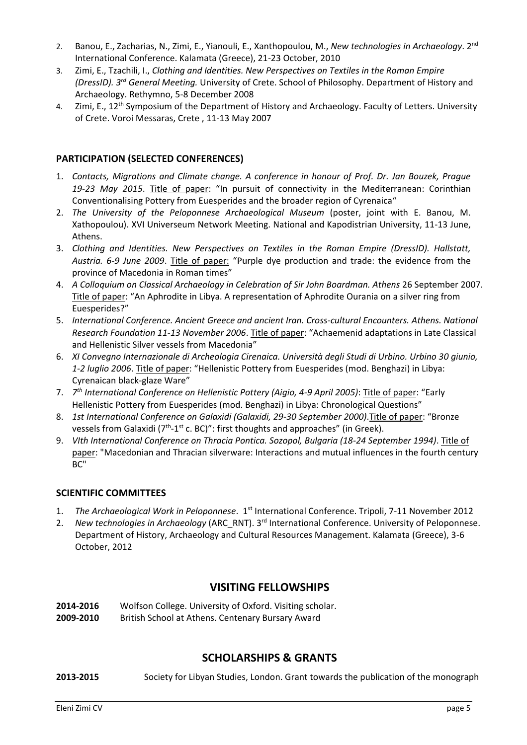- 2. Banou, E., Zacharias, N., Zimi, E., Yianouli, E., Xanthopoulou, M., *New technologies in Archaeology*. 2nd International Conference. Kalamata (Greece), 21-23 October, 2010
- 3. Zimi, E., Tzachili, I., *Clothing and Identities. New Perspectives on Textiles in the Roman Empire (DressID). 3rd General Meeting.* University of Crete. School of Philosophy. Department of History and Archaeology. Rethymno, 5-8 December 2008
- 4. Zimi, E., 12<sup>th</sup> Symposium of the Department of History and Archaeology. Faculty of Letters. University of Crete. Voroi Messaras, Crete , 11-13 May 2007

### **PARTICIPATION (SELECTED CONFERENCES)**

- 1. *Contacts, Migrations and Climate change. A conference in honour of Prof. Dr. Jan Bouzek, Prague 19-23 May 2015*. Title of paper: "In pursuit of connectivity in the Mediterranean: Corinthian Conventionalising Pottery from Euesperides and the broader region of Cyrenaica"
- 2. *The University of the Peloponnese Archaeological Museum* (poster, joint with E. Banou, M. Xathopoulou). XVI Universeum Network Meeting. National and Kapodistrian University, 11-13 June, Athens.
- 3. *Clothing and Identities. New Perspectives on Textiles in the Roman Empire (DressID). Hallstatt, Austria. 6-9 June 2009*. Title of paper: "Purple dye production and trade: the evidence from the province of Macedonia in Roman times"
- 4. *A Colloquium on Classical Archaeology in Celebration of Sir John Boardman. Athens* 26 September 2007. Title of paper: "An Aphrodite in Libya. A representation of Aphrodite Ourania on a silver ring from Euesperides?"
- 5. *International Conference. Ancient Greece and ancient Iran. Cross-cultural Encounters. Athens. National Research Foundation 11-13 November 2006*. Title of paper: "Achaemenid adaptations in Late Classical and Hellenistic Silver vessels from Macedonia"
- 6. *XI Convegno Internazionale di Archeologia Cirenaica. Università degli Studi di Urbino. Urbino 30 giunio, 1-2 luglio 2006*. Title of paper: "Hellenistic Pottery from Euesperides (mod. Benghazi) in Libya: Cyrenaican black-glaze Ware"
- 7. *7 th International Conference on Hellenistic Pottery (Aigio, 4-9 April 2005)*: Title of paper: "Early Hellenistic Pottery from Euesperides (mod. Benghazi) in Libya: Chronological Questions"
- 8. *1st International Conference on Galaxidi (Galaxidi, 29-30 September 2000)*.Title of paper: "Bronze vessels from Galaxidi (7<sup>th</sup>-1<sup>st</sup> c. BC)": first thoughts and approaches" (in Greek).
- 9. *VIth International Conference on Thracia Pontica. Sozopol, Bulgaria (18-24 September 1994)*. Title of paper: "Macedonian and Thracian silverware: Interactions and mutual influences in the fourth century BC"

### **SCIENTIFIC COMMITTEES**

- 1. *The Archaeological Work in Peloponnese*. 1st International Conference. Tripoli, 7-11 November 2012
- 2. New technologies in Archaeology (ARC\_RNT). 3<sup>rd</sup> International Conference. University of Peloponnese. Department of History, Archaeology and Cultural Resources Management. Kalamata (Greece), 3-6 October, 2012

# **VISITING FELLOWSHIPS**

**2014-2016** Wolfson College. University of Oxford. Visiting scholar.

**2009-2010** British School at Athens. Centenary Bursary Award

# **SCHOLARSHIPS & GRANTS**

**2013-2015** Society for Libyan Studies, London. Grant towards the publication of the monograph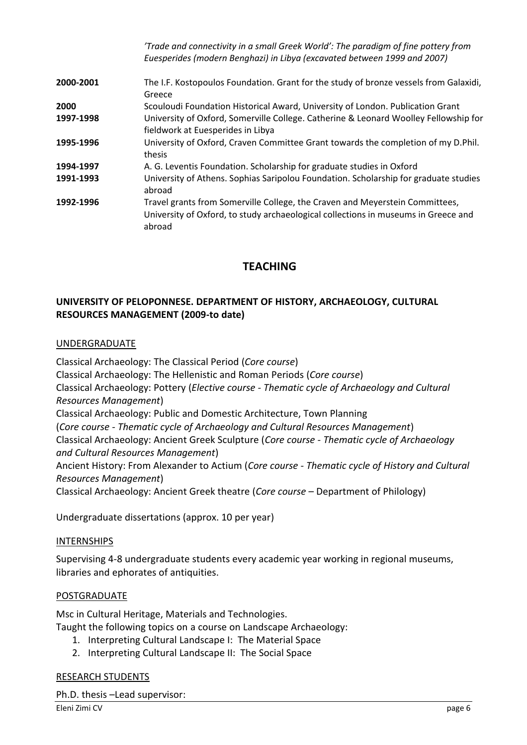|           | 'Trade and connectivity in a small Greek World': The paradigm of fine pottery from<br>Euesperides (modern Benghazi) in Libya (excavated between 1999 and 2007)               |
|-----------|------------------------------------------------------------------------------------------------------------------------------------------------------------------------------|
| 2000-2001 | The I.F. Kostopoulos Foundation. Grant for the study of bronze vessels from Galaxidi,<br>Greece                                                                              |
| 2000      | Scouloudi Foundation Historical Award, University of London. Publication Grant                                                                                               |
| 1997-1998 | University of Oxford, Somerville College. Catherine & Leonard Woolley Fellowship for<br>fieldwork at Euesperides in Libya                                                    |
| 1995-1996 | University of Oxford, Craven Committee Grant towards the completion of my D.Phil.<br>thesis                                                                                  |
| 1994-1997 | A. G. Leventis Foundation. Scholarship for graduate studies in Oxford                                                                                                        |
| 1991-1993 | University of Athens. Sophias Saripolou Foundation. Scholarship for graduate studies<br>abroad                                                                               |
| 1992-1996 | Travel grants from Somerville College, the Craven and Meyerstein Committees,<br>University of Oxford, to study archaeological collections in museums in Greece and<br>abroad |

# **TEACHING**

### **UNIVERSITY OF PELOPONNESE. DEPARTMENT OF HISTORY, ARCHAEOLOGY, CULTURAL RESOURCES MANAGEMENT (2009-to date)**

#### UNDERGRADUATE

Classical Archaeology: Τhe Classical Period (*Core course*)

Classical Archaeology: Τhe Hellenistic and Roman Periods (*Core course*)

Classical Archaeology: Pottery (*Elective course - Thematic cycle of Archaeology and Cultural Resources Management*)

Classical Archaeology: Public and Domestic Architecture, Town Planning

(*Core course - Thematic cycle of Archaeology and Cultural Resources Management*)

Classical Archaeology: Ancient Greek Sculpture (*Core course - Thematic cycle of Archaeology and Cultural Resources Management*)

Ancient History: From Alexander to Actium (*Core course - Thematic cycle of History and Cultural Resources Management*)

Classical Archaeology: Ancient Greek theatre (*Core course* – Department of Philology)

Undergraduate dissertations (approx. 10 per year)

#### INTERNSHIPS

Supervising 4-8 undergraduate students every academic year working in regional museums, libraries and ephorates of antiquities.

### POSTGRADUATE

Msc in Cultural Heritage, Materials and Technologies. Taught the following topics on a course on Landscape Archaeology:

- 1. Interpreting Cultural Landscape I: The Material Space
- 2. Interpreting Cultural Landscape II: The Social Space

### RESEARCH STUDENTS

Ph.D. thesis –Lead supervisor: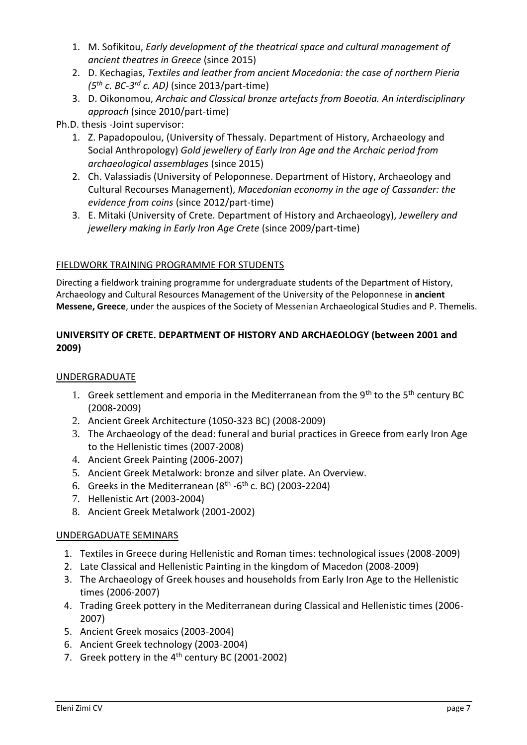- 1. M. Sofikitou, *Early development of the theatrical space and cultural management of ancient theatres in Greece* (since 2015)
- 2. D. Kechagias, *Textiles and leather from ancient Macedonia: the case of northern Pieria (5th c. BC-3 rd c. AD)* (since 2013/part-time)
- 3. D. Oikonomou, *Archaic and Classical bronze artefacts from Boeotia. An interdisciplinary approach* (since 2010/part-time)

Ph.D. thesis -Joint supervisor:

- 1. Z. Papadopoulou, (University of Thessaly. Department of History, Archaeology and Social Anthropology) *Gold jewellery of Early Iron Age and the Archaic period from archaeological assemblages* (since 2015)
- 2. Ch. Valassiadis (University of Peloponnese. Department of History, Archaeology and Cultural Recourses Management), *Macedonian economy in the age of Cassander: the evidence from coins* (since 2012/part-time)
- 3. E. Mitaki (University of Crete. Department of History and Archaeology), *Jewellery and jewellery making in Early Iron Age Crete* (since 2009/part-time)

### FIELDWORK TRAINING PROGRAMME FOR STUDENTS

Directing a fieldwork training programme for undergraduate students of the Department of History, Archaeology and Cultural Resources Management of the University of the Peloponnese in **ancient Messene, Greece**, under the auspices of the Society of Messenian Archaeological Studies and P. Themelis.

### **UNIVERSITY OF CRETE. DEPARTMENT OF HISTORY AND ARCHAEOLOGY (between 2001 and 2009)**

### UNDERGRADUATE

- 1. Greek settlement and emporia in the Mediterranean from the 9<sup>th</sup> to the 5<sup>th</sup> century BC (2008-2009)
- 2. Ancient Greek Architecture (1050-323 BC) (2008-2009)
- 3. The Archaeology of the dead: funeral and burial practices in Greece from early Iron Age to the Hellenistic times (2007-2008)
- 4. Ancient Greek Painting (2006-2007)
- 5. Ancient Greek Metalwork: bronze and silver plate. An Overview.
- 6. Greeks in the Mediterranean ( $8<sup>th</sup>$  -6<sup>th</sup> c. BC) (2003-2204)
- 7. Hellenistic Art (2003-2004)
- 8. Ancient Greek Metalwork (2001-2002)

### UNDERGADUATE SEMINARS

- 1. Textiles in Greece during Hellenistic and Roman times: technological issues (2008-2009)
- 2. Late Classical and Hellenistic Painting in the kingdom of Macedon (2008-2009)
- 3. The Archaeology of Greek houses and households from Early Iron Age to the Hellenistic times (2006-2007)
- 4. Trading Greek pottery in the Mediterranean during Classical and Hellenistic times (2006- 2007)
- 5. Ancient Greek mosaics (2003-2004)
- 6. Ancient Greek technology (2003-2004)
- 7. Greek pottery in the 4<sup>th</sup> century BC (2001-2002)